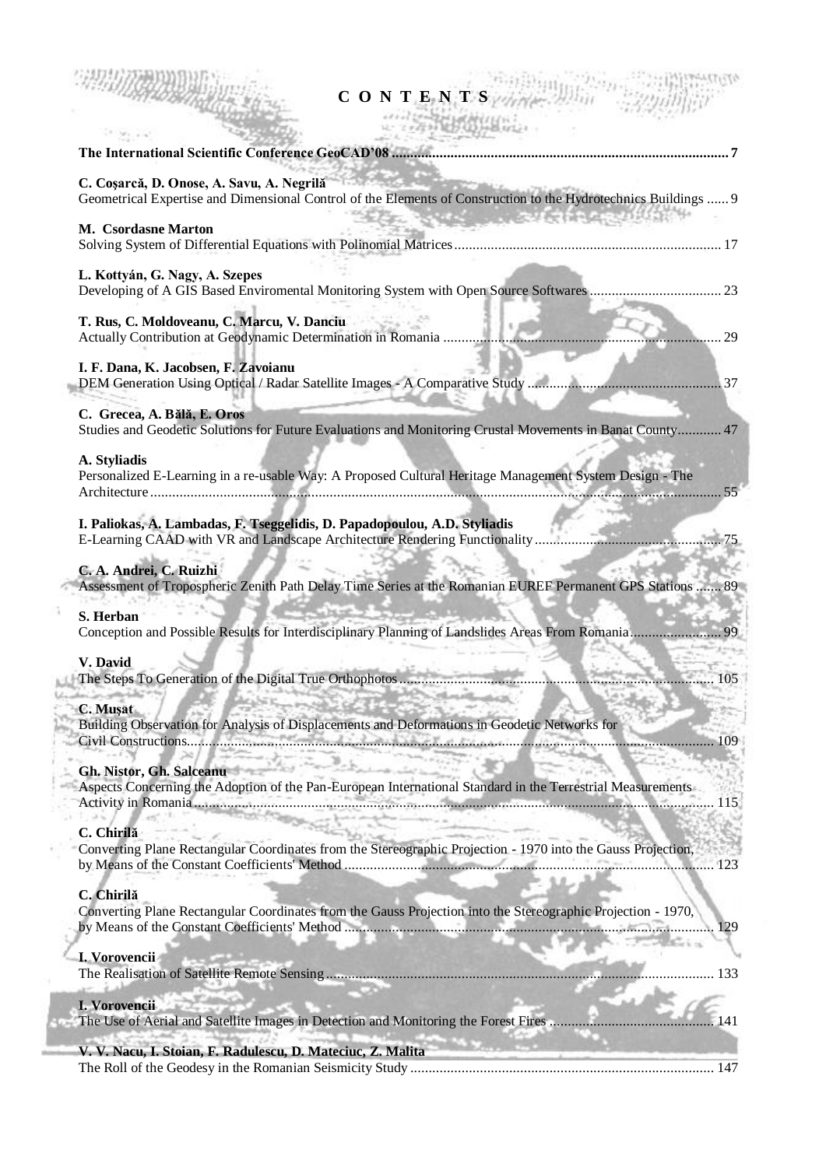| CONTENTS                                                                                                                                                             |     |
|----------------------------------------------------------------------------------------------------------------------------------------------------------------------|-----|
|                                                                                                                                                                      |     |
| C. Coșarcă, D. Onose, A. Savu, A. Negrilă<br>Geometrical Expertise and Dimensional Control of the Elements of Construction to the Hydrotechnics Buildings  9         |     |
| <b>一个人都不会会在这样的话</b><br>M. Csordasne Marton                                                                                                                           |     |
| L. Kottyán, G. Nagy, A. Szepes                                                                                                                                       |     |
| T. Rus, C. Moldoveanu, C. Marcu, V. Danciu<br>Actually Contribution at Geodynamic Determination in Romania                                                           | 29  |
| I. F. Dana, K. Jacobsen, F. Zavoianu                                                                                                                                 |     |
| C. Grecea, A. Bălă, E. Oros                                                                                                                                          |     |
| Studies and Geodetic Solutions for Future Evaluations and Monitoring Crustal Movements in Banat County 47                                                            |     |
| A. Styliadis<br>Personalized E-Learning in a re-usable Way: A Proposed Cultural Heritage Management System Design - The                                              |     |
| I. Paliokas, A. Lambadas, F. Tseggelidis, D. Papadopoulou, A.D. Styliadis                                                                                            |     |
| C. A. Andrei, C. Ruizhi<br>Assessment of Tropospheric Zenith Path Delay Time Series at the Romanian EUREF Permanent GPS Stations  89                                 |     |
| S. Herban                                                                                                                                                            |     |
| V. David<br>her are going with                                                                                                                                       |     |
| C. Muşat<br>Building Observation for Analysis of Displacements and Deformations in Geodetic Networks for<br>Civil Constructions                                      | 109 |
| <b>Gh. Nistor, Gh. Salceanu</b><br>Aspects Concerning the Adoption of the Pan-European International Standard in the Terrestrial Measurements<br>Activity in Romania | 115 |
| C. Chirilă<br>Converting Plane Rectangular Coordinates from the Stereographic Projection - 1970 into the Gauss Projection,                                           | 123 |
| C. Chirilă<br>Converting Plane Rectangular Coordinates from the Gauss Projection into the Stereographic Projection - 1970,                                           | 129 |
| I. Vorovencii                                                                                                                                                        | 133 |
| I. Vorovencii<br>The Use of Aerial and Satellite Images in Detection and Monitoring the Forest Fires                                                                 |     |
| V. V. Nacu, I. Stoian, F. Radulescu, D. Mateciuc, Z. Malita                                                                                                          |     |

The Roll of the Geodesy in the Romanian Seismicity Study ................................................................................... 147